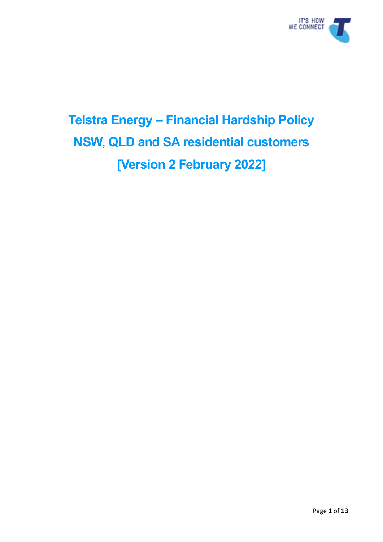

# **Telstra Energy – Financial Hardship Policy NSW, QLD and SA residential customers [Version 2 February 2022]**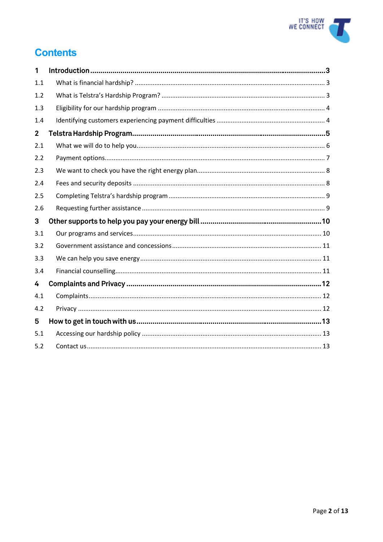

# **Contents**

| 1            |  |
|--------------|--|
| 1.1          |  |
| 1.2          |  |
| 1.3          |  |
| 1.4          |  |
| $\mathbf{2}$ |  |
| 2.1          |  |
| 2.2          |  |
| 2.3          |  |
| 2.4          |  |
| 2.5          |  |
| 2.6          |  |
|              |  |
| 3            |  |
| 3.1          |  |
| 3.2          |  |
| 3.3          |  |
| 3.4          |  |
| 4            |  |
| 4.1          |  |
| 4.2          |  |
| 5            |  |
| 5.1          |  |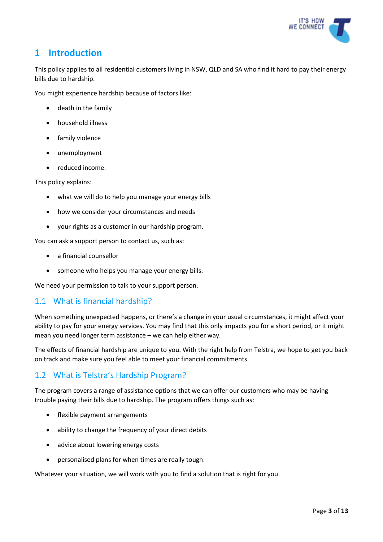

# **1 Introduction**

This policy applies to all residential customers living in NSW, QLD and SA who find it hard to pay their energy bills due to hardship.

You might experience hardship because of factors like:

- death in the family
- household illness
- family violence
- unemployment
- reduced income.

This policy explains:

- what we will do to help you manage your energy bills
- how we consider your circumstances and needs
- your rights as a customer in our hardship program.

You can ask a support person to contact us, such as:

- a financial counsellor
- someone who helps you manage your energy bills.

We need your permission to talk to your support person.

## <span id="page-2-0"></span>1.1 What is financial hardship?

When something unexpected happens, or there's a change in your usual circumstances, it might affect your ability to pay for your energy services. You may find that this only impacts you for a short period, or it might mean you need longer term assistance – we can help either way.

The effects of financial hardship are unique to you. With the right help from Telstra, we hope to get you back on track and make sure you feel able to meet your financial commitments.

## <span id="page-2-1"></span>1.2 What is Telstra's Hardship Program?

The program covers a range of assistance options that we can offer our customers who may be having trouble paying their bills due to hardship. The program offers things such as:

- flexible payment arrangements
- ability to change the frequency of your direct debits
- advice about lowering energy costs
- personalised plans for when times are really tough.

Whatever your situation, we will work with you to find a solution that is right for you.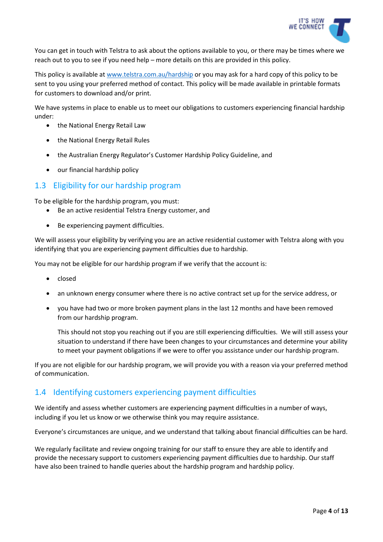

You can get in touch with Telstra to ask about the options available to you, or there may be times where we reach out to you to see if you need help – more details on this are provided in this policy.

This policy is available at [www.telstra.com.au/hardship o](http://www.telstra.com.au/hardship)r you may ask for a hard copy of this policy to be sent to you using your preferred method of contact. This policy will be made available in printable formats for customers to download and/or print.

We have systems in place to enable us to meet our obligations to customers experiencing financial hardship under:

- the National Energy Retail Law
- the National Energy Retail Rules
- the Australian Energy Regulator's Customer Hardship Policy Guideline, and
- our financial hardship policy

#### <span id="page-3-0"></span>1.3 Eligibility for our hardship program

To be eligible for the hardship program, you must:

- Be an active residential Telstra Energy customer, and
- Be experiencing payment difficulties.

We will assess your eligibility by verifying you are an active residential customer with Telstra along with you identifying that you are experiencing payment difficulties due to hardship.

You may not be eligible for our hardship program if we verify that the account is:

- closed
- an unknown energy consumer where there is no active contract set up for the service address, or
- you have had two or more broken payment plans in the last 12 months and have been removed from our hardship program.

This should not stop you reaching out if you are still experiencing difficulties. We will still assess your situation to understand if there have been changes to your circumstances and determine your ability to meet your payment obligations if we were to offer you assistance under our hardship program.

If you are not eligible for our hardship program, we will provide you with a reason via your preferred method of communication.

#### <span id="page-3-1"></span>1.4 Identifying customers experiencing payment difficulties

We identify and assess whether customers are experiencing payment difficulties in a number of ways, including if you let us know or we otherwise think you may require assistance.

Everyone's circumstances are unique, and we understand that talking about financial difficulties can be hard.

We regularly facilitate and review ongoing training for our staff to ensure they are able to identify and provide the necessary support to customers experiencing payment difficulties due to hardship. Our staff have also been trained to handle queries about the hardship program and hardship policy.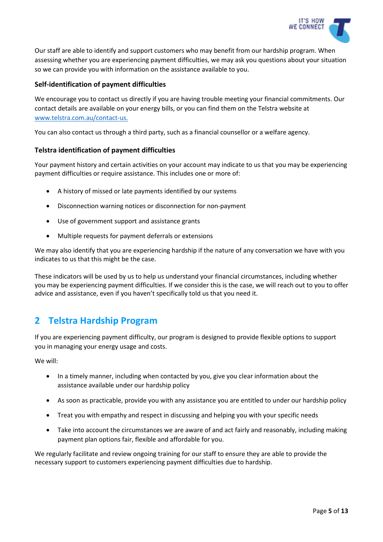

Our staff are able to identify and support customers who may benefit from our hardship program. When assessing whether you are experiencing payment difficulties, we may ask you questions about your situation so we can provide you with information on the assistance available to you.

#### **Self-identification of payment difficulties**

We encourage you to contact us directly if you are having trouble meeting your financial commitments. Our contact details are available on your energy bills, or you can find them on the Telstra website at [www.telstra.com.au/contact-us.](http://www.telstra.com.au/contact-us)

You can also contact us through a third party, such as a financial counsellor or a welfare agency.

#### **Telstra identification of payment difficulties**

Your payment history and certain activities on your account may indicate to us that you may be experiencing payment difficulties or require assistance. This includes one or more of:

- A history of missed or late payments identified by our systems
- Disconnection warning notices or disconnection for non-payment
- Use of government support and assistance grants
- Multiple requests for payment deferrals or extensions

We may also identify that you are experiencing hardship if the nature of any conversation we have with you indicates to us that this might be the case.

These indicators will be used by us to help us understand your financial circumstances, including whether you may be experiencing payment difficulties. If we consider this is the case, we will reach out to you to offer advice and assistance, even if you haven't specifically told us that you need it.

# **2 Telstra Hardship Program**

If you are experiencing payment difficulty, our program is designed to provide flexible options to support you in managing your energy usage and costs.

We will:

- In a timely manner, including when contacted by you, give you clear information about the assistance available under our hardship policy
- As soon as practicable, provide you with any assistance you are entitled to under our hardship policy
- Treat you with empathy and respect in discussing and helping you with your specific needs
- Take into account the circumstances we are aware of and act fairly and reasonably, including making payment plan options fair, flexible and affordable for you.

We regularly facilitate and review ongoing training for our staff to ensure they are able to provide the necessary support to customers experiencing payment difficulties due to hardship.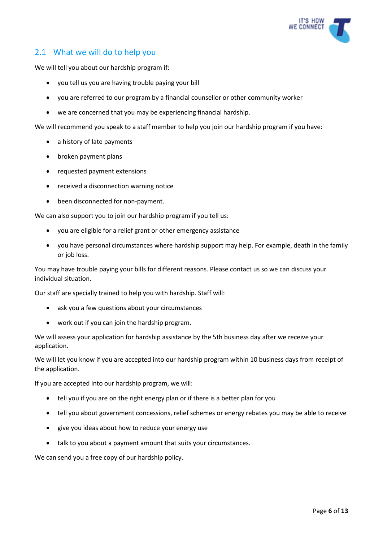

## <span id="page-5-0"></span>2.1 What we will do to help you

We will tell you about our hardship program if:

- you tell us you are having trouble paying your bill
- you are referred to our program by a financial counsellor or other community worker
- we are concerned that you may be experiencing financial hardship.

We will recommend you speak to a staff member to help you join our hardship program if you have:

- a history of late payments
- broken payment plans
- requested payment extensions
- received a disconnection warning notice
- been disconnected for non-payment.

We can also support you to join our hardship program if you tell us:

- you are eligible for a relief grant or other emergency assistance
- you have personal circumstances where hardship support may help. For example, death in the family or job loss.

You may have trouble paying your bills for different reasons. Please contact us so we can discuss your individual situation.

Our staff are specially trained to help you with hardship. Staff will:

- ask you a few questions about your circumstances
- work out if you can join the hardship program.

We will assess your application for hardship assistance by the 5th business day after we receive your application.

We will let you know if you are accepted into our hardship program within 10 business days from receipt of the application.

If you are accepted into our hardship program, we will:

- tell you if you are on the right energy plan or if there is a better plan for you
- tell you about government concessions, relief schemes or energy rebates you may be able to receive
- give you ideas about how to reduce your energy use
- talk to you about a payment amount that suits your circumstances.

We can send you a free copy of our hardship policy.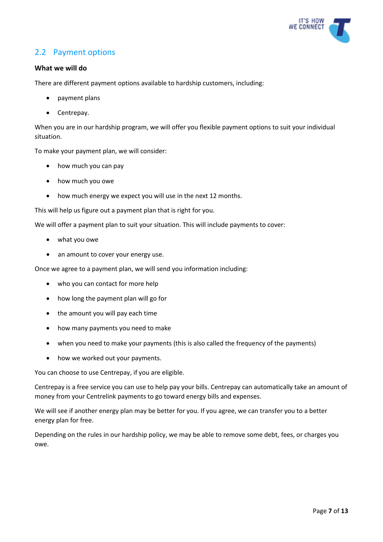

## <span id="page-6-0"></span>2.2 Payment options

#### **What we will do**

There are different payment options available to hardship customers, including:

- payment plans
- Centrepay.

When you are in our hardship program, we will offer you flexible payment options to suit your individual situation.

To make your payment plan, we will consider:

- how much you can pay
- how much you owe
- how much energy we expect you will use in the next 12 months.

This will help us figure out a payment plan that is right for you.

We will offer a payment plan to suit your situation. This will include payments to cover:

- what you owe
- an amount to cover your energy use.

Once we agree to a payment plan, we will send you information including:

- who you can contact for more help
- how long the payment plan will go for
- the amount you will pay each time
- how many payments you need to make
- when you need to make your payments (this is also called the frequency of the payments)
- how we worked out your payments.

You can choose to use Centrepay, if you are eligible.

Centrepay is a free service you can use to help pay your bills. Centrepay can automatically take an amount of money from your Centrelink payments to go toward energy bills and expenses.

We will see if another energy plan may be better for you. If you agree, we can transfer you to a better energy plan for free.

Depending on the rules in our hardship policy, we may be able to remove some debt, fees, or charges you owe.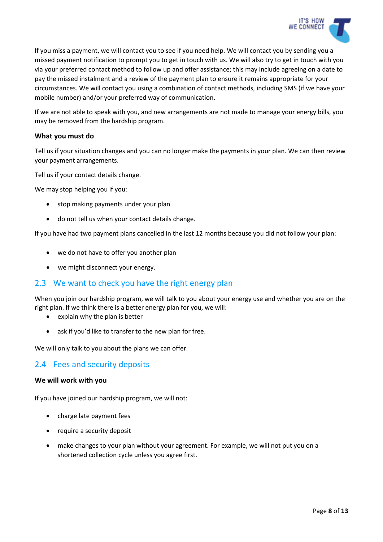

If you miss a payment, we will contact you to see if you need help. We will contact you by sending you a missed payment notification to prompt you to get in touch with us. We will also try to get in touch with you via your preferred contact method to follow up and offer assistance; this may include agreeing on a date to pay the missed instalment and a review of the payment plan to ensure it remains appropriate for your circumstances. We will contact you using a combination of contact methods, including SMS (if we have your mobile number) and/or your preferred way of communication.

If we are not able to speak with you, and new arrangements are not made to manage your energy bills, you may be removed from the hardship program.

#### **What you must do**

Tell us if your situation changes and you can no longer make the payments in your plan. We can then review your payment arrangements.

Tell us if your contact details change.

We may stop helping you if you:

- stop making payments under your plan
- do not tell us when your contact details change.

If you have had two payment plans cancelled in the last 12 months because you did not follow your plan:

- we do not have to offer you another plan
- we might disconnect your energy.

#### <span id="page-7-0"></span>2.3 We want to check you have the right energy plan

When you join our hardship program, we will talk to you about your energy use and whether you are on the right plan. If we think there is a better energy plan for you, we will:

- explain why the plan is better
- ask if you'd like to transfer to the new plan for free.

We will only talk to you about the plans we can offer.

#### <span id="page-7-1"></span>2.4 Fees and security deposits

#### **We will work with you**

If you have joined our hardship program, we will not:

- charge late payment fees
- require a security deposit
- make changes to your plan without your agreement. For example, we will not put you on a shortened collection cycle unless you agree first.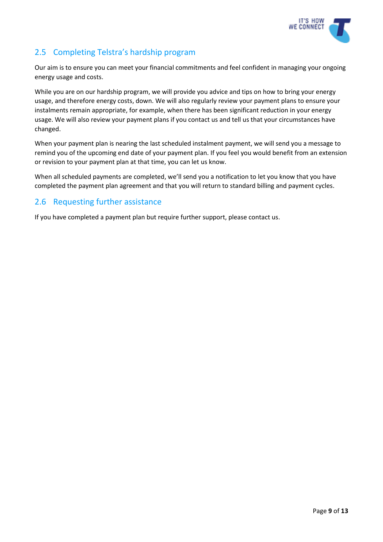

# <span id="page-8-0"></span>2.5 Completing Telstra's hardship program

Our aim is to ensure you can meet your financial commitments and feel confident in managing your ongoing energy usage and costs.

While you are on our hardship program, we will provide you advice and tips on how to bring your energy usage, and therefore energy costs, down. We will also regularly review your payment plans to ensure your instalments remain appropriate, for example, when there has been significant reduction in your energy usage. We will also review your payment plans if you contact us and tell us that your circumstances have changed.

When your payment plan is nearing the last scheduled instalment payment, we will send you a message to remind you of the upcoming end date of your payment plan. If you feel you would benefit from an extension or revision to your payment plan at that time, you can let us know.

When all scheduled payments are completed, we'll send you a notification to let you know that you have completed the payment plan agreement and that you will return to standard billing and payment cycles.

## <span id="page-8-1"></span>2.6 Requesting further assistance

If you have completed a payment plan but require further support, please contact us.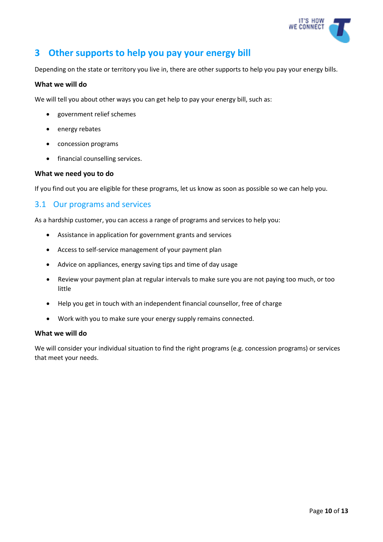

# **3 Other supports to help you pay your energy bill**

Depending on the state or territory you live in, there are other supports to help you pay your energy bills.

#### **What we will do**

We will tell you about other ways you can get help to pay your energy bill, such as:

- government relief schemes
- energy rebates
- concession programs
- financial counselling services.

#### **What we need you to do**

If you find out you are eligible for these programs, let us know as soon as possible so we can help you.

#### <span id="page-9-0"></span>3.1 Our programs and services

As a hardship customer, you can access a range of programs and services to help you:

- Assistance in application for government grants and services
- Access to self-service management of your payment plan
- Advice on appliances, energy saving tips and time of day usage
- Review your payment plan at regular intervals to make sure you are not paying too much, or too little
- Help you get in touch with an independent financial counsellor, free of charge
- Work with you to make sure your energy supply remains connected.

#### **What we will do**

We will consider your individual situation to find the right programs (e.g. concession programs) or services that meet your needs.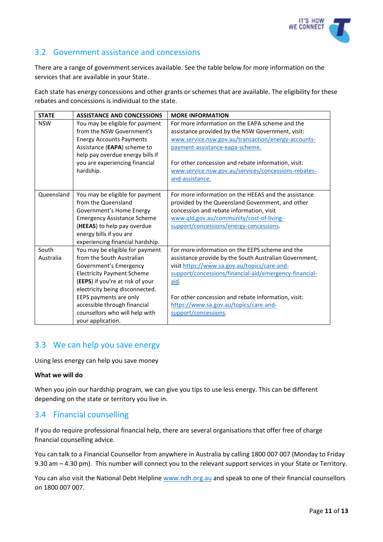

## <span id="page-10-0"></span>3.2 Government assistance and concessions

There are a range of government services available. See the table below for more information on the services that are available in your State.

Each state has energy concessions and other grants or schemes that are available. The eligibility for these rebates and concessions is individual to the state.

| <b>STATE</b> | <b>ASSISTANCE AND CONCESSIONS</b>  | <b>MORE INFORMATION</b>                                |
|--------------|------------------------------------|--------------------------------------------------------|
| <b>NSW</b>   | You may be eligible for payment    | For more information on the EAPA scheme and the        |
|              | from the NSW Government's          | assistance provided by the NSW Government, visit:      |
|              | <b>Energy Accounts Payments</b>    | www.service.nsw.gov.au/transaction/energy-accounts-    |
|              | Assistance (EAPA) scheme to        | payment-assistance-eapa-scheme.                        |
|              | help pay overdue energy bills if   |                                                        |
|              | you are experiencing financial     | For other concession and rebate information, visit:    |
|              | hardship.                          | www.service.nsw.gov.au/services/concessions-rebates-   |
|              |                                    | and-assistance.                                        |
|              |                                    |                                                        |
| Queensland   | You may be eligible for payment    | For more information on the HEEAS and the assistance   |
|              | from the Queensland                | provided by the Queensland Government, and other       |
|              | Government's Home Energy           | concession and rebate information, visit               |
|              | <b>Emergency Assistance Scheme</b> | www.qld.gov.au/community/cost-of-living-               |
|              | (HEEAS) to help pay overdue        | support/concessions/energy-concessions                 |
|              | energy bills if you are            |                                                        |
|              | experiencing financial hardship.   |                                                        |
| South        | You may be eligible for payment    | For more information on the EEPS scheme and the        |
| Australia    | from the South Australian          | assistance provide by the South Australian Government, |
|              | Government's Emergency             | visit https://www.sa.gov.au/topics/care-and-           |
|              | <b>Electricity Payment Scheme</b>  | support/concessions/financial-aid/emergency-financial- |
|              | (EEPS) if you're at risk of your   | aid.                                                   |
|              | electricity being disconnected.    |                                                        |
|              | EEPS payments are only             | For other concession and rebate information, visit:    |
|              | accessible through financial       | https://www.sa.gov.au/topics/care-and-                 |
|              | counsellors who will help with     | support/concessions.                                   |
|              | your application.                  |                                                        |

## <span id="page-10-1"></span>3.3 We can help you save energy

Using less energy can help you save money

#### **What we will do**

When you join our hardship program, we can give you tips to use less energy. This can be different depending on the state or territory you live in.

## <span id="page-10-2"></span>3.4 Financial counselling

If you do require professional financial help, there are several organisations that offer free of charge financial counselling advice.

You can talk to a Financial Counsellor from anywhere in Australia by calling 1800 007 007 (Monday to Friday 9.30 am – 4.30 pm). This number will connect you to the relevant support services in your State or Territory.

You can also visit the National Debt Helpline [www.ndh.org.au](http://www.ndh.org.au/) and speak to one of their financial counsellors on 1800 007 007.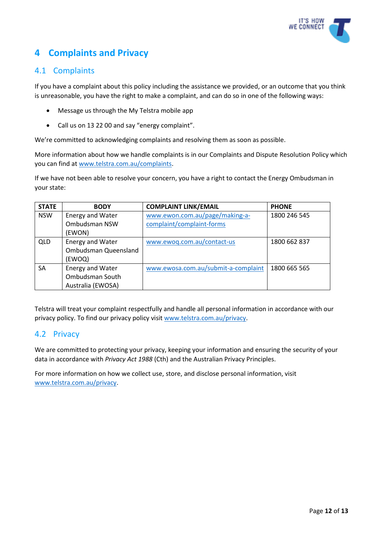

# **4 Complaints and Privacy**

## <span id="page-11-0"></span>4.1 Complaints

If you have a complaint about this policy including the assistance we provided, or an outcome that you think is unreasonable, you have the right to make a complaint, and can do so in one of the following ways:

- Message us through the My Telstra mobile app
- Call us on 13 22 00 and say "energy complaint".

We're committed to acknowledging complaints and resolving them as soon as possible.

More information about how we handle complaints is in our Complaints and Dispute Resolution Policy which you can find a[t www.telstra.com.au/complaints.](http://www.telstra.com.au/complaints)

If we have not been able to resolve your concern, you have a right to contact the Energy Ombudsman in your state:

| <b>STATE</b> | <b>BODY</b>             | <b>COMPLAINT LINK/EMAIL</b>         | <b>PHONE</b> |
|--------------|-------------------------|-------------------------------------|--------------|
| <b>NSW</b>   | <b>Energy and Water</b> | www.ewon.com.au/page/making-a-      | 1800 246 545 |
|              | Ombudsman NSW           | complaint/complaint-forms           |              |
|              | (EWON)                  |                                     |              |
| <b>QLD</b>   | Energy and Water        | www.ewoq.com.au/contact-us          | 1800 662 837 |
|              | Ombudsman Queensland    |                                     |              |
|              | (EWOQ)                  |                                     |              |
| <b>SA</b>    | Energy and Water        | www.ewosa.com.au/submit-a-complaint | 1800 665 565 |
|              | Ombudsman South         |                                     |              |
|              | Australia (EWOSA)       |                                     |              |

Telstra will treat your complaint respectfully and handle all personal information in accordance with our privacy policy. To find our privacy policy visit [www.telstra.com.au/privacy.](http://www.telstra.com.au/privacy)

#### <span id="page-11-1"></span>4.2 Privacy

We are committed to protecting your privacy, keeping your information and ensuring the security of your data in accordance with *Privacy Act 1988* (Cth) and the Australian Privacy Principles.

For more information on how we collect use, store, and disclose personal information, visit [www.telstra.com.au/privacy.](http://www.telstra.com.au/privacy)